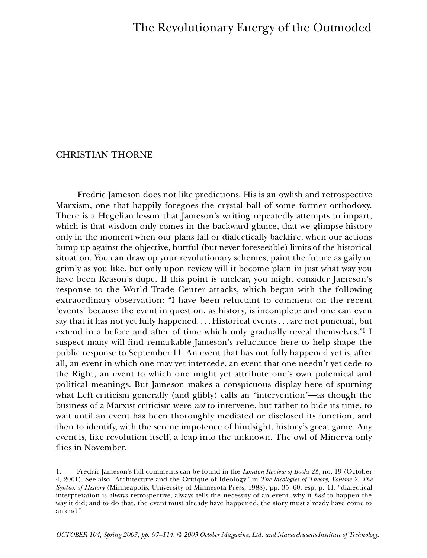## The Revolutionary Energy of the Outmoded

## CHRISTIAN THORNE

Fredric Jameson does not like predictions. His is an owlish and retrospective Marxism, one that happily foregoes the crystal ball of some former orthodoxy. There is a Hegelian lesson that Jameson's writing repeatedly attempts to impart, which is that wisdom only comes in the backward glance, that we glimpse history only in the moment when our plans fail or dialectically back fire, when our actions bump up against the objective, hurtful (but never foreseeable) limits of the historical situation. You can draw up your revolutionary schemes, paint the future as gaily or grimly as you like, but only upon review will it become plain in just what way you have been Reason's dupe. If this point is unclear, you might consider Jameson's response to the World Trade Center attacks, which began with the following extraordinary observation: "I have been reluctant to comment on the recent 'events' because the event in question, as history, is incomplete and one can even say that it has not yet fully happened.... Historical events ... are not punctual, but extend in a before and after of time which only gradually reveal themselves."1 I suspect many will find remarkable Jameson's reluctance here to help shape the public response to September 11. An event that has not fully happened yet is, after all, an event in which one may yet intercede, an event that one needn't yet cede to the Right, an event to which one might yet attribute one's own polemical and political meanings. But Jameson makes a conspicuous display here of spurning what Left criticism generally (and glibly) calls an "intervention"—as though the business of a Marxist criticism were *not* to intervene, but rather to bide its time, to wait until an event has been thoroughly mediated or disclosed its function, and then to identify, with the serene impotence of hindsight, history's great game. Any event is, like revolution itself, a leap into the unknown. The owl of Minerva only flies in November.

1. Fredric Jameson's full comments can be found in the *London Review of Books* 23, no. 19 (October 4, 2001). See also "Architecture and the Critique of Ideology," in *The Ideologies of Theory, Volume 2: The Syntax of History* (Minneapolis: University of Minnesota Press, 1988), pp. 35–60, esp. p. 41: "dialectical interpretation is always retrospective, always tells the necessity of an event, why it *had* to happen the way it did; and to do that, the event must already have happened, the story must already have come to an end."

*OCTOBER 104, Spring 2003, pp. 97–114. © 2003 October Magazine, Ltd. and Massachusetts Institute of Technology.*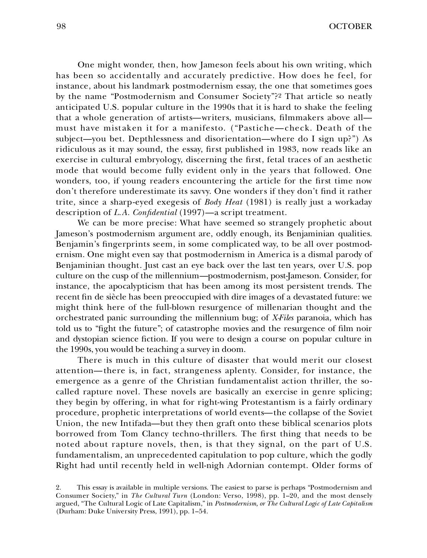One might wonder, then, how Jameson feels about his own writing, which has been so accidentally and accurately predictive. How does he feel, for instance, about his landmark postmodernism essay, the one that sometimes goes by the name "Postmodernism and Consumer Society"?2 That article so neatly anticipated U.S. popular culture in the 1990s that it is hard to shake the feeling that a whole generation of artists—writers, musicians, filmmakers above all must have mistaken it for a manifesto. ("Pastiche—check. Death of the subject—you bet. Depthlessness and disorientation—where do I sign up?") As ridiculous as it may sound, the essay, first published in 1983, now reads like an exercise in cultural embryology, discerning the first, fetal traces of an aesthetic mode that would become fully evident only in the years that followed. One wonders, too, if young readers encountering the article for the first time now don't therefore underestimate its savvy. One wonders if they don't find it rather trite, since a sharp-eyed exegesis of *Body Heat* (1981) is really just a workaday description of *L.A. Confidential* (1997)—a script treatment.

We can be more precise: What have seemed so strangely prophetic about Jameson's postmodernism argument are, oddly enough, its Benjaminian qualities. Benjamin's fingerprints seem, in some complicated way, to be all over postmodernism. One might even say that postmodernism in America is a dismal parody of Benjaminian thought. Just cast an eye back over the last ten years, over U.S. pop culture on the cusp of the millennium—postmodernism, post-Jameson. Consider, for instance, the apocalypticism that has been among its most persistent trends. The recent fin de siècle has been preoccupied with dire images of a devastated future: we might think here of the full-blown resurgence of millenarian thought and the orchestrated panic surrounding the millennium bug; of *X-Files* paranoia, which has told us to "fight the future"; of catastrophe movies and the resurgence of film noir and dystopian science fiction. If you were to design a course on popular culture in the 1990s, you would be teaching a survey in doom.

There is much in this culture of disaster that would merit our closest attention—there is, in fact, strangeness aplenty. Consider, for instance, the emergence as a genre of the Christian fundamentalist action thriller, the so called rapture novel. These novels are basically an exercise in genre splicing; they begin by offering, in what for right-wing Protestantism is a fairly ordinary procedure, prophetic interpretations of world events—the collapse of the Soviet Union, the new Intifada—but they then graft onto these biblical scenarios plots borrowed from Tom Clancy techno-thrillers. The first thing that needs to be noted about rapture novels, then, is that they signal, on the part of U.S. fundamentalism, an unprecedented capitulation to pop culture, which the godly Right had until recently held in well-nigh Adornian contempt. Older forms of

<sup>2.</sup> This essay is available in multiple versions. The easiest to parse is perhaps "Postmodernism and Consumer Society," in *The Cultural Turn* (London: Verso, 1998), pp. 1–20, and the most densely argued, "The Cultural Logic of Late Capitalism," in *Postmodernism, or The Cultural Logic of Late Capitalism* (Durham: Duke University Press, 1991), pp. 1–54.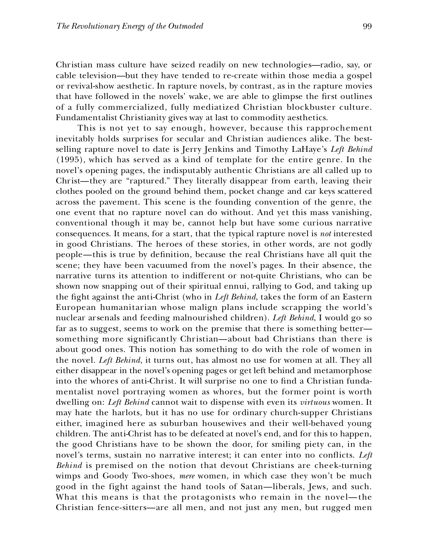Chr istian mass culture have seized readily on new technologies—radio, say, or cable television—but they have tended to re-create within those media a gospel or revival-show aesthetic. In rapture novels, by contrast, as in the rapture movies that have followed in the novels' wake, we are able to glimpse the first outlines of a fully commercialized, fully mediatized Christian blockbuster culture. Fundamentalist Christianity gives way at last to commodity aesthetics.

This is not yet to say enough, however, because this rapprochement inevitably holds surprises for secular and Christian audiences alike. The bestselling rapture novel to date is Jerry Jenkins and Timothy LaHaye's *Left Behind* (1995), which has served as a kind of template for the entire genre. In the novel's opening pages, the indisputably authentic Christians are all called up to Chr ist—they are "raptured." They literally disappear from earth, leaving their clothes pooled on the ground behind them, pocket change and car keys scattered across the pavement. This scene is the founding convention of the genre, the one event that no rapture novel can do without. And yet this mass vanishing, conventional though it may be, cannot help but have some curious narrative consequences. It means, for a start, that the typical rapture novel is *not* interested in good Christians. The heroes of these stories, in other words, are not godly people—this is true by denition, because the real Christians have all quit the scene; they have been vacuumed from the novel's pages. In their absence, the narrative turns its attention to indifferent or not-quite Christians, who can be shown now snapping out of their spiritual ennui, rallying to God, and taking up the fight against the anti-Christ (who in *Left Behind*, takes the form of an Eastern European humanitarian whose malign plans include scrapping the world's nuclear arsenals and feeding malnourished children). *Left Behind*, I would go so far as to suggest, seems to work on the premise that there is something better something more significantly Christian—about bad Christians than there is about good ones. This notion has something to do with the role of women in the novel. *Left Behind*, it turns out, has almost no use for women at all. They all either disappear in the novel's opening pages or get left behind and metamorphose into the whores of anti-Christ. It will surprise no one to find a Christian fundamentalist novel portraying women as whores, but the former point is worth dwelling on: *Left Behind* cannot wait to dispense with even its *virtuous* women. It may hate the harlots, but it has no use for ordinary church-supper Christians either, imagined here as suburban housewives and their well-behaved young children. The anti-Christ has to be defeated at novel's end, and for this to happen, the good Chr istians have to be shown the door, for smiling piety can, in the novel's terms, sustain no narrative interest; it can enter into no conflicts. *Left Behind* is premised on the notion that devout Christians are cheek-turning wimps and Goody Two-shoes, *mere* women, in which case they won't be much good in the fight against the hand tools of Satan—liberals, Jews, and such. What this means is that the protagonists who remain in the novel—the Christian fence-sitters—are all men, and not just any men, but rugged men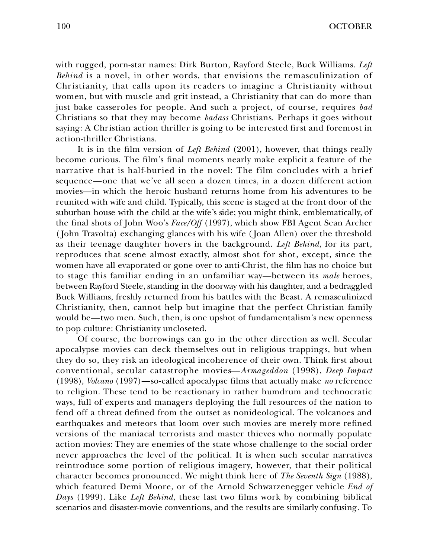with rugged, porn-star names: Dirk Burton, Rayford Steele, Buck Williams. *Left Behind* is a novel, in other words, that envisions the remasculinization of Christianity, that calls upon its readers to imagine a Christianity without women, but with muscle and grit instead, a Christianity that can do more than just bake casseroles for people. And such a project, of course, requires *bad* Christians so that they may become *badass* Christians. Perhaps it goes without saying: A Christian action thriller is going to be interested first and foremost in action-thriller Chr istians.

It is in the lm version of *Left Behind* (2001), however, that things really become curious. The film's final moments nearly make explicit a feature of the narrative that is half-buried in the novel: The film concludes with a brief sequence—one that we've all seen a dozen times, in a dozen different action movies—in which the heroic husband returns home from his adventures to be reunited with wife and child. Typically, this scene is staged at the front door of the suburban house with the child at the wife's side; you might think, emblematically, of the nal shots of John Woo's *Face/Off* (1997), which show FBI Agent Sean Archer ( John Travolta) exchanging glances with his wife ( Joan Allen) over the threshold as their teenage daughter hovers in the background. *Left Behind*, for its part, reproduces that scene almost exactly, almost shot for shot, except, since the women have all evaporated or gone over to anti-Christ, the film has no choice but to stage this familiar ending in an unfamiliar way—between its *male* heroes, between Rayford Steele, standing in the doorway with his daughter, and a bedraggled Buck Williams, freshly returned from his battles with the Beast. A remasculinized Christianity, then, cannot help but imagine that the perfect Christian family would be—two men. Such, then, is one upshot of fundamentalism's new openness to pop culture: Christianity uncloseted.

Of course, the borrowings can go in the other direction as well. Secular apocalypse movies can deck themselves out in religious trappings, but when they do so, they risk an ideological incoherence of their own. Think first about conventional, secular catast rophe movies—*Armageddon* (1998), *Deep Impact* (1998), *Volcano* (1997)—so-called apocalypse lms that actually make *no* reference to religion. These tend to be reactionary in rather humdrum and technocratic ways, full of experts and managers deploying the full resources of the nation to fend off a threat defined from the outset as nonideological. The volcanoes and earthquakes and meteors that loom over such movies are merely more refined versions of the maniacal terrorists and master thieves who normally populate action movies: They are enemies of the state whose challenge to the social order never approaches the level of the political. It is when such secular narratives reintroduce some portion of religious imagery, however, that their political character becomes pronounced. We might think here of *The Seventh Sign* (1988), which featured Demi Moore, or of the Arnold Schwarzenegger vehicle *End of Days* (1999). Like *Left Behind*, these last two films work by combining biblical scenarios and disaster-movie conventions, and the results are similarly confusing. To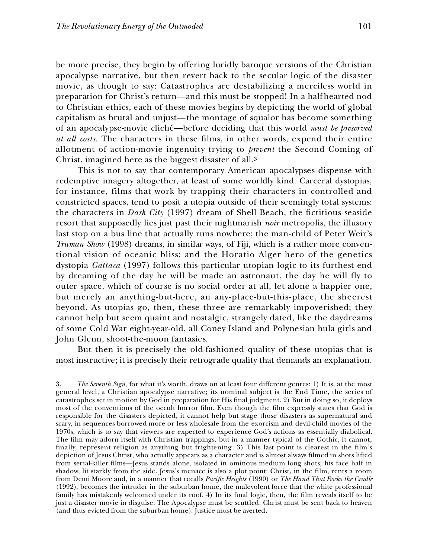be more precise, they begin by offering luridly baroque versions of the Christian apocalypse narrative, but then revert back to the secular logic of the disaster movie, as though to say: Catastrophes are destabilizing a merciless world in preparation for Christ's return—and this must be stopped! In a halfhearted nod to Christian ethics, each of these movies begins by depicting the world of global capitalism as brutal and unjust—the montage of squalor has become something of an apocalypse-movie cliché—before deciding that this world *must be preserved at all costs*. The characters in these films, in other words, expend their entire allotment of action-movie ingenuity trying to *prevent* the Second Coming of Christ, imagined here as the biggest disaster of all.3

This is not to say that contemporary American apocalypses dispense with redemptive imagery altogether, at least of some worldly kind. Carceral dystopias, for instance, films that work by trapping their characters in controlled and constricted spaces, tend to posit a utopia outside of their seemingly total systems: the characters in *Dark City* (1997) dream of Shell Beach, the fictitious seaside resort that supposedly lies just past their nightmarish *noir* metropolis, the illusory last stop on a bus line that actually runs nowhere; the man-child of Peter Weir's *Truman Show* (1998) dreams, in similar ways, of Fiji, which is a rather more conventional vision of oceanic bliss; and the Horatio Alger hero of the genetics dystopia *Gattaca* (1997) follows this particular utopian logic to its furthest end by dreaming of the day he will be made an astronaut, the day he will fly to outer space, which of course is no social order at all, let alone a happier one, but merely an anything-but-here, an any-place-but-this-place, the sheerest beyond. As utopias go, then, these three are remarkably impoverished; they cannot help but seem quaint and nostalgic, strangely dated, like the daydreams of some Cold War eight-year-old, all Coney Island and Polynesian hula girls and John Glenn, shoot-the-moon fantasies.

But then it is precisely the old-fashioned quality of these utopias that is most instructive; it is precisely their retrograde quality that demands an explanation.

3. *The Seventh Sign*, for what it's worth, draws on at least four different genres: 1) It is, at the most general level, a Christian apocalypse narrative; its nominal subject is the End Time, the series of catastrophes set in motion by God in preparation for His final judgment. 2) But in doing so, it deploys most of the conventions of the occult horror film. Even though the film expressly states that God is responsible for the disasters depicted, it cannot help but stage those disasters as supernatural and scary, in sequences borrowed more or less wholesale from the exorcism and devil-child movies of the 1970s, which is to say that viewers are expected to experience God's actions as essentially diabolical. The film may adorn itself with Christian trappings, but in a manner typical of the Gothic, it cannot, finally, represent religion as anything but frightening. 3) This last point is clearest in the film's depiction of Jesus Christ, who actually appears as a character and is almost always lmed in shots lifted from serial-killer films—Jesus stands alone, isolated in ominous medium long shots, his face half in shadow, lit starkly from the side. Jesus's menace is also a plot point: Christ, in the film, rents a room from Demi Moore and, in a manner that recalls *Pacic Heights* (1990) or *The Hand That Rocks the Cradle* (1992), becomes the intruder in the suburban home, the malevolent force that the white professional family has mistakenly welcomed under its roof. 4) In its final logic, then, the film reveals itself to be just a disaster movie in disguise: The Apocalypse must be scuttled. Christ must be sent back to heaven (and thus evicted from the suburban home). Justice must be averted.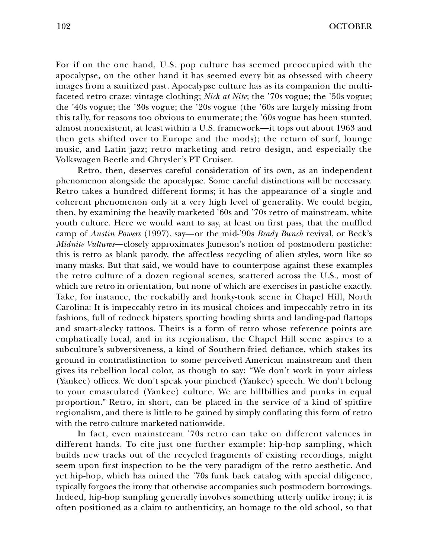For if on the one hand, U.S. pop culture has seemed preoccupied with the apocalypse, on the other hand it has seemed every bit as obsessed with cheery images from a sanitized past. Apocalypse culture has as its companion the multifaceted retro craze: vintage clothing; *Nick at Nite*; the '70s vogue; the '50s vogue; the '40s vogue; the '30s vogue; the '20s vogue (the '60s are largely missing from this tally, for reasons too obvious to enumerate; the '60s vogue has been stunted, almost nonexistent, at least within a U.S. framework—it tops out about 1963 and then gets shifted over to Europe and the mods); the return of surf, lounge music, and Latin jazz; retro marketing and retro design, and especially the Volkswagen Beetle and Chrysler's PT Cruiser.

Retro, then, deserves careful consideration of its own, as an independent phenomenon alongside the apocalypse. Some careful distinctions will be necessary. Retro takes a hundred different forms; it has the appearance of a single and coherent phenomenon only at a very high level of generality. We could begin, then, by examining the heavily marketed '60s and '70s retro of mainstream, white youth culture. Here we would want to say, at least on first pass, that the muffled camp of *Austin Powers* (1997), say—or the mid-'90s *Brady Bunch* revival, or Beck's *Midnite Vultures*—closely approximates Jameson's notion of postmodern pastiche: this is retro as blank parody, the affectless recycling of alien styles, worn like so many masks. But that said, we would have to counterpose against these examples the retro culture of a dozen regional scenes, scattered across the U.S., most of which are retro in orientation, but none of which are exercises in pastiche exactly. Take, for instance, the rockabilly and honky-tonk scene in Chapel Hill, North Carolina: It is impeccably retro in its musical choices and impeccably retro in its fashions, full of redneck hipsters sporting bowling shirts and landing-pad flattops and smart-alecky tattoos. Theirs is a form of retro whose reference points are emphatically local, and in its regionalism, the Chapel Hill scene aspires to a subculture's subversiveness, a kind of Southern-fried defiance, which stakes its ground in contradistinction to some perceived American mainstream and then gives its rebellion local color, as though to say: "We don't work in your airless (Yankee) offices. We don't speak your pinched (Yankee) speech. We don't belong to your emasculated (Yankee) culture. We are hillbillies and punks in equal proportion." Retro, in short, can be placed in the service of a kind of spitfire regionalism, and there is little to be gained by simply conflating this form of retro with the retro culture marketed nationwide.

In fact, even mainstream '70s retro can take on different valences in different hands. To cite just one further example: hip-hop sampling, which builds new tracks out of the recycled fragments of existing recordings, might seem upon first inspection to be the very paradigm of the retro aesthetic. And yet hip-hop, which has mined the '70s funk back catalog with special diligence, typically forgoes the irony that otherwise accompanies such postmodern borrowings. Indeed, hip-hop sampling generally involves something utterly unlike irony; it is often positioned as a claim to authenticity, an homage to the old school, so that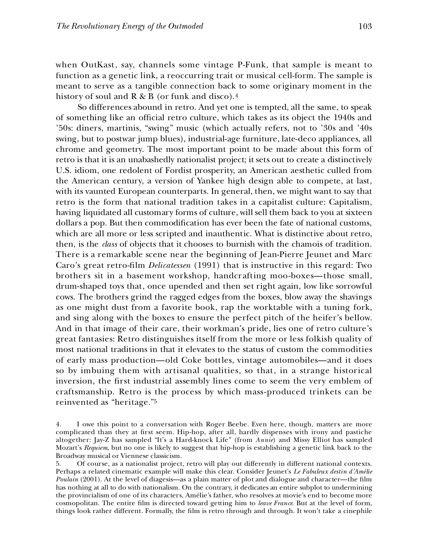when OutKast, say, channels some vintage P-Funk, that sample is meant to function as a genetic link, a reoccurring trait or musical cell-form. The sample is meant to serve as a tangible connection back to some originary moment in the history of soul and  $R \& B$  (or funk and disco).<sup>4</sup>

So differences abound in retro. And yet one is tempted, all the same, to speak of something like an official retro culture, which takes as its object the 1940s and '50s: diners, martinis, "swing" music (which actually refers, not to '30s and '40s swing, but to postwar jump blues), industrial-age furniture, late-deco appliances, all chrome and geometry. The most important point to be made about this form of retro is that it is an unabashedly nationalist project; it sets out to create a distinctively U.S. idiom, one redolent of Fordist prosperity, an American aesthetic culled from the American century, a version of Yankee high design able to compete, at last, with its vaunted European counterparts. In general, then, we might want to say that retro is the form that national tradition takes in a capitalist culture: Capitalism, having liquidated all customary forms of culture, will sell them back to you at sixteen dollars a pop. But then commodification has ever been the fate of national customs, which are all more or less scripted and inauthentic. What is distinctive about retro, then, is the *class* of objects that it chooses to burnish with the chamois of tradition. There is a remarkable scene near the beginning of Jean-Pierre Jeunet and Marc Caro's great retro-film *Delicatessen* (1991) that is instructive in this regard: Two brothers sit in a basement workshop, handcrafting moo-boxes—those small, drum-shaped toys that, once upended and then set right again, low like sorrowful cows. The brothers grind the ragged edges from the boxes, blow away the shavings as one might dust from a favorite book, rap the worktable with a tuning fork, and sing along with the boxes to ensure the perfect pitch of the heifer's bellow. And in that image of their care, their workman's pride, lies one of retro culture's great fantasies: Retro distinguishes itself from the more or less folkish quality of most national traditions in that it elevates to the status of custom the commodities of early mass production—old Coke bottles, vintage automobiles—and it does so by imbuing them with artisanal qualities, so that, in a strange historical inversion, the first industrial assembly lines come to seem the very emblem of craftsmanship. Retro is the process by which mass-produced trinkets can be reinvented as "heritage."5

5. Of course, as a nationalist project, retro will play out differently in different national contexts. Perhaps a related cinematic example will make this clear. Consider Jeunet's *Le Fabuleux destin d'Amélie Poulain* (2001). At the level of diagesis—as a plain matter of plot and dialogue and character—the film has nothing at all to do with nationalism. On the contrary, it dedicates an entire subplot to undermining the provincialism of one of its characters, Amélie's father, who resolves at movie's end to become more cosmopolitan. The entire lm is directed toward getting him to *leave France*. But at the level of form, things look rather different. Formally, the film is retro through and through. It won't take a cinephile

<sup>4.</sup> I owe this point to a conversation with Roger Beebe. Even here, though, matters are more complicated than they at first seem. Hip-hop, after all, hardly dispenses with irony and pastiche altogether: Jay-Z has sampled "It's a Hard-knock Life" (from *Annie*) and Missy Elliot has sampled Mozart's *Requiem*, but no one is likely to suggest that hip-hop is establishing a genetic link back to the Broadway musical or Viennese classicism.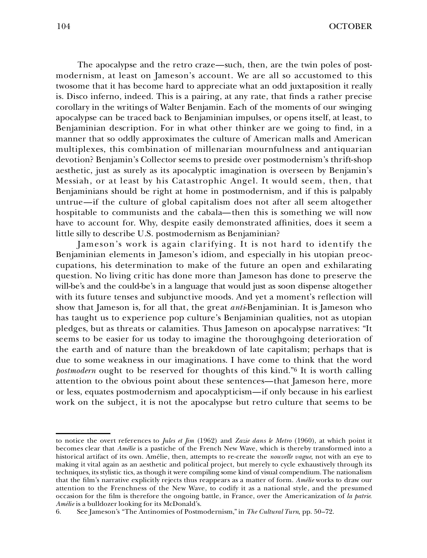The apocalypse and the retro craze—such, then, are the twin poles of postmodernism, at least on Jameson's account. We are all so accustomed to this twosome that it has become hard to appreciate what an odd juxtaposition it really is. Disco inferno, indeed. This is a pairing, at any rate, that finds a rather precise corollary in the writings of Walter Benjamin. Each of the moments of our swinging apocalypse can be traced back to Benjaminian impulses, or opens itself, at least, to Benjaminian description. For in what other thinker are we going to find, in a manner that so oddly approximates the culture of American malls and American multiplexes, this combination of millenarian mournfulness and antiquarian devotion? Benjamin's Collector seems to preside over postmodernism's thrift-shop aesthetic, just as surely as its apocalyptic imagination is overseen by Benjamin's Messiah, or at least by his Catastrophic Angel. It would seem, then, that Benjaminians should be right at home in postmodernism, and if this is palpably untrue—if the culture of global capitalism does not after all seem altogether hospitable to communists and the cabala—then this is something we will now have to account for. Why, despite easily demonstrated affinities, does it seem a little silly to describe U.S. postmodernism as Benjaminian?

Jameson's work is again clarifying. It is not hard to identify the Benjaminian elements in Jameson's idiom, and especially in his utopian preoccupations, his determination to make of the future an open and exhilarating question. No living critic has done more than Jameson has done to preserve the will-be's and the could-be's in a language that would just as soon dispense altogether with its future tenses and subjunctive moods. And yet a moment's reflection will show that Jameson is, for all that, the great *anti*-Benjaminian. It is Jameson who has taught us to experience pop culture's Benjaminian qualities, not as utopian pledges, but as threats or calamities. Thus Jameson on apocalypse narratives: "It seems to be easier for us today to imagine the thoroughgoing deterioration of the earth and of nature than the breakdown of late capitalism; perhaps that is due to some weakness in our imaginations. I have come to think that the word *postmodern* ought to be reserved for thoughts of this kind."6 It is worth calling attention to the obvious point about these sentences—that Jameson here, more or less, equates postmodernism and apocalypticism—if only because in his earliest work on the subject, it is not the apocalypse but retro culture that seems to be

to notice the overt references to *Jules et Jim* (1962) and *Zazie dans le Metro* (1960), at which point it becomes clear that *Amélie* is a pastiche of the French New Wave, which is thereby transformed into a historical artifact of its own. Amélie, then, attempts to re-create the *nouvelle vague*, not with an eye to making it vital again as an aesthetic and political project, but merely to cycle exhaustively through its techniques, its stylistic tics, as though it were compiling some kind of visual compendium. The nationalism that the lm's narrative explicitly rejects thus reappears as a matter of form. *Amélie* works to draw our attention to the Frenchness of the New Wave, to codify it as a national style, and the presumed occasion for the lm is therefore the ongoing battle, in France, over the Americanization of *la patrie*. *Amélie* is a bulldozer looking for its McDonald's.<br>6. See Jameson's "The Antinomies of Postmodernism," in *The Cultural Turn*, pp. 50–72.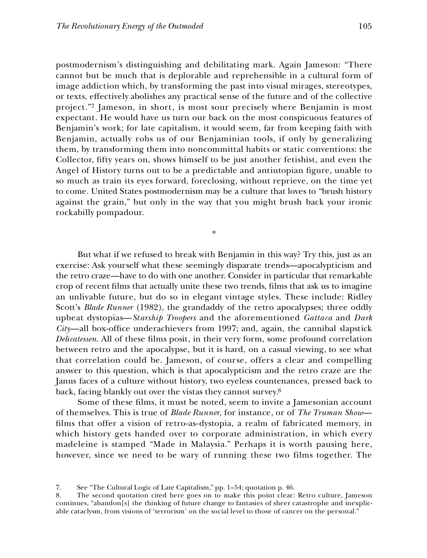postmodernism's distinguishing and debilitating mark. Again Jameson: "There cannot but be much that is deplorable and reprehensible in a cultural form of image addiction which, by transforming the past into visual mirages, stereotypes, or texts, effectively abolishes any practical sense of the future and of the collective project."7 Jameson, in short, is most sour precisely where Benjamin is most expectant. He would have us turn our back on the most conspicuous features of Benjamin's work; for late capitalism, it would seem, far from keeping faith with Benjamin, actually robs us of our Benjaminian tools, if only by generalizing them, by transforming them into noncommittal habits or static conventions: the Collector, fty years on, shows himself to be just another fetishist, and even the Angel of History turns out to be a predictable and antiutopian figure, unable to so much as train its eyes forward, foreclosing, without reprieve, on the time yet to come. United States postmodernism may be a culture that loves to "brush history against the grain," but only in the way that you might brush back your ironic rockabilly pompadour.

But what if we refused to break with Benjamin in this way? Try this, just as an exercise: Ask yourself what these seemingly disparate trends—apocalypticism and the retro craze—have to do with one another. Consider in particular that remarkable crop of recent films that actually unite these two trends, films that ask us to imagine an unlivable future, but do so in elegant vintage styles. These include: Ridley Scott's *Blade Runner* (1982), the grandaddy of the retro apocalypses; three oddly upbeat dystopias—*Starship Troopers* and the aforementioned *Gattaca* and *Dark*  $City$ —all box-office underachievers from 1997; and, again, the cannibal slapstick *Delicatessen*. All of these films posit, in their very form, some profound correlation between retro and the apocalypse, but it is hard, on a casual viewing, to see what that correlation could be. Jameson, of course, offers a clear and compelling answer to this question, which is that apocalypticism and the retro craze are the Janus faces of a culture without history, two eyeless countenances, pressed back to back, facing blankly out over the vistas they cannot survey.8

\*

Some of these films, it must be noted, seem to invite a Jamesonian account of themselves. This is true of *Blade Runner*, for instance, or of *The Truman Show* films that offer a vision of retro-as-dystopia, a realm of fabricated memory, in which history gets handed over to corporate administration, in which every madeleine is stamped "Made in Malaysia." Perhaps it is worth pausing here, however, since we need to be wary of running these two films together. The

<sup>7.</sup> See "The Cultural Logic of Late Capitalism," pp. 1–54; quotation p. 46.

<sup>8.</sup> The second quotation cited here goes on to make this point clear: Retro culture, Jameson continues, "abandon[s] the thinking of future change to fantasies of sheer catastrophe and inexplicable cataclysm, from visions of 'terrorism' on the social level to those of cancer on the personal."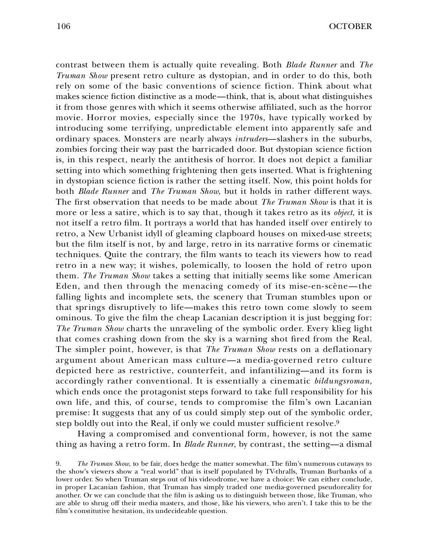contrast between them is actually quite revealing. Both *Blade Runner* and *The Truman Show* present retro culture as dystopian, and in order to do this, both rely on some of the basic conventions of science fiction. Think about what makes science fiction distinctive as a mode—think, that is, about what distinguishes it from those genres with which it seems otherwise affiliated, such as the horror movie. Horror movies, especially since the 1970s, have typically worked by introducing some terrifying, unpredictable element into apparently safe and ordinary spaces. Monsters are nearly always *intruders*—slashers in the suburbs, zombies forcing their way past the barricaded door. But dystopian science fiction is, in this respect, nearly the antithesis of horror. It does not depict a familiar setting into which something frightening then gets inserted. What is frightening in dystopian science fiction is rather the setting itself. Now, this point holds for both *Blade Runner* and *The Truman Show*, but it holds in rather different ways. The first observation that needs to be made about *The Truman Show* is that it is more or less a satire, which is to say that, though it takes retro as its *object*, it is not itself a retro film. It portrays a world that has handed itself over entirely to retro, a New Urbanist idyll of gleaming clapboard houses on mixed-use streets; but the film itself is not, by and large, retro in its narrative forms or cinematic techniques. Quite the contrary, the film wants to teach its viewers how to read retro in a new way; it wishes, polemically, to loosen the hold of retro upon them. *The Truman Show* takes a setting that initially seems like some American Eden, and then through the menacing comedy of its mise-en-scène—the falling lights and incomplete sets, the scenery that Truman stumbles upon or that springs disruptively to life—makes this retro town come slowly to seem ominous. To give the film the cheap Lacanian description it is just begging for: *The Truman Show* charts the unraveling of the symbolic order. Every klieg light that comes crashing down from the sky is a warning shot fired from the Real. The simpler point, however, is that *The Truman Show* rests on a deflationary argument about American mass culture—a media-governed retro culture depicted here as restrictive, counterfeit, and infantilizing—and its form is accordingly rather conventional. It is essentially a cinematic *bildungsroman*, which ends once the protagonist steps forward to take full responsibility for his own life, and this, of course, tends to compromise the film's own Lacanian premise: It suggests that any of us could simply step out of the symbolic order, step boldly out into the Real, if only we could muster sufficient resolve.<sup>9</sup>

Having a compromised and conventional form, however, is not the same thing as having a retro form. In *Blade Runner*, by contrast, the setting—a dismal

<sup>9.</sup> *The Truman Show*, to be fair, does hedge the matter somewhat. The film's numerous cutaways to the show's viewers show a "real world" that is itself populated by TV-thralls, Truman Burbanks of a lower order. So when Truman steps out of his videodrome, we have a choice: We can either conclude, in proper Lacanian fashion, that Truman has simply traded one media-governed pseudoreality for another. Or we can conclude that the film is asking us to distinguish between those, like Truman, who are able to shrug off their media masters, and those, like his viewers, who aren't. I take this to be the film's constitutive hesitation, its undecideable question.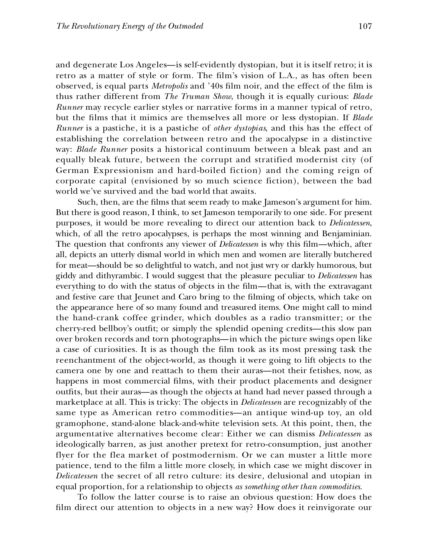and degenerate Los Angeles—is self-evidently dystopian, but it is itself retro; it is retro as a matter of style or form. The film's vision of L.A., as has often been observed, is equal parts *Metropolis* and '40s film noir, and the effect of the film is thus rather different from *The Truman Show*, though it is equally curious: *Blade Runner* may recycle earlier styles or narrative forms in a manner typical of retro, but the lms that it mimics are themselves all more or less dystopian. If *Blade Runner* is a pastiche, it is a pastiche of *other dystopias*, and this has the effect of establishing the correlation between retro and the apocalypse in a distinctive way: *Blade Runner* posits a historical continuum between a bleak past and an equally bleak future, between the corrupt and stratified modernist city (of German Expressionism and hard-boiled fiction) and the coming reign of corporate capital (envisioned by so much science fiction), between the bad

world we've survived and the bad world that awaits.<br>Such, then, are the films that seem ready to make Jameson's argument for him. But there is good reason, I think, to set Jameson temporarily to one side. For present purposes, it would be more revealing to direct our attention back to *Delicatessen*, which, of all the retro apocalypses, is perhaps the most winning and Benjaminian. The question that confronts any viewer of *Delicatessen* is why this film—which, after all, depicts an utterly dismal world in which men and women are literally butchered for meat—should be so delightful to watch, and not just wry or darkly humorous, but giddy and dithyrambic. I would suggest that the pleasure peculiar to *Delicatessen* has everything to do with the status of objects in the film—that is, with the extravagant and festive care that Jeunet and Caro bring to the lming of objects, which take on the appearance here of so many found and treasured items. One might call to mind the hand- crank coffee grinder, which doubles as a radio transmitter; or the cherry-red bellboy's outfit; or simply the splendid opening credits—this slow pan over broken records and torn photographs—in which the picture swings open like a case of curiosities. It is as though the film took as its most pressing task the reenchantment of the object-world, as though it were going to lift objects to the camera one by one and reattach to them their auras—not their fetishes, now, as happens in most commercial films, with their product placements and designer out fits, but their auras—as though the objects at hand had never passed through a marketplace at all. This is tricky: The objects in *Delicatessen* are recognizably of the same type as American retro commodities—an antique wind-up toy, an old gramophone, stand-alone black-and-white television sets. At this point, then, the argumentative alternatives become clear: Either we can dismiss *Delicatessen* as ideologically barren, as just another pretext for retro-consumption, just another flyer for the flea market of postmodernism. Or we can muster a little more patience, tend to the lm a little more closely, in which case we might discover in *Delicatessen* the secret of all retro culture: its desire, delusional and utopian in equal proportion, for a relationship to objects *as something other than commodities*.

To follow the latter course is to raise an obvious question: How does the film direct our attention to objects in a new way? How does it reinvigorate our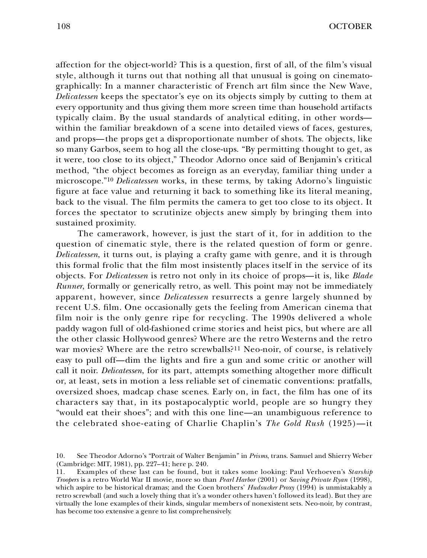affection for the object-world? This is a question, first of all, of the film's visual style, although it turns out that nothing all that unusual is going on cinematographically: In a manner characteristic of French art film since the New Wave, *Delicatessen* keeps the spectator's eye on its objects simply by cutting to them at every opportunity and thus giving them more screen time than household artifacts typically claim. By the usual standards of analytical editing, in other words within the familiar breakdown of a scene into detailed views of faces, gestures, and props—the props get a disproportionate number of shots. The objects, like so many Garbos, seem to hog all the close-ups. "By permitting thought to get, as it were, too close to its object," Theodor Adorno once said of Benjamin's critical method, "the object becomes as foreign as an everyday, familiar thing under a microscope."10 *Delicatessen* works, in these terms, by taking Adorno's linguistic figure at face value and returning it back to something like its literal meaning, back to the visual. The film permits the camera to get too close to its object. It forces the spectator to scrutinize objects anew simply by bringing them into sustained proximity.

The camerawork, however, is just the start of it, for in addition to the question of cinematic style, there is the related question of form or genre. *Delicatessen*, it turns out, is playing a crafty game with genre, and it is through this formal frolic that the film most insistently places itself in the service of its objects. For *Delicatessen* is retro not only in its choice of props—it is, like *Blade Runner*, formally or generically retro, as well. This point may not be immediately apparent, however, since *Delicatessen* resurrects a genre largely shunned by recent U.S. film. One occasionally gets the feeling from American cinema that film noir is the only genre ripe for recycling. The 1990s delivered a whole paddy wagon full of old-fashioned crime stories and heist pics, but where are all the other classic Hollywood genres? Where are the retro Westerns and the retro war movies? Where are the retro screwballs?<sup>11</sup> Neo-noir, of course, is relatively easy to pull off—dim the lights and fire a gun and some critic or another will call it noir. *Delicatessen*, for its part, attempts something altogether more difficult or, at least, sets in motion a less reliable set of cinematic conventions: pratfalls, oversized shoes, madcap chase scenes. Early on, in fact, the film has one of its characters say that, in its postapocalyptic world, people are so hungry they "would eat their shoes"; and with this one line—an unambiguous reference to the celebrated shoe-eating of Charlie Chaplin's *The Gold Rush* (1925)—it

<sup>10.</sup> See Theodor Adorno's "Portrait of Walter Benjamin" in *Prisms*, trans. Samuel and Shierry Weber (Cambridge: MIT, 1981), pp. 227–41; here p. 240.

<sup>11.</sup> Examples of these last can be found, but it takes some looking: Paul Verhoeven's *Starship Troopers* is a retro World War II movie, more so than *Pearl Harbor* (2001) or *Saving Private Ryan* (1998), which aspire to be historical dramas; and the Coen brothers' *Hudsucker Proxy* (1994) is unmistakably a retro screwball (and such a lovely thing that it's a wonder others haven't followed its lead). But they are virtually the lone examples of their kinds, singular members of nonexistent sets. Neo-noir, by contrast, has become too extensive a genre to list comprehensively.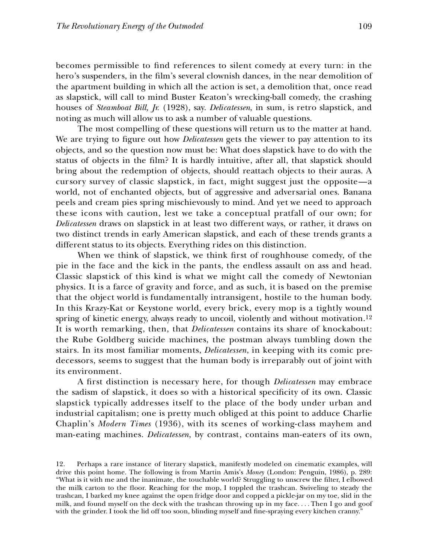becomes permissible to find references to silent comedy at every turn: in the hero's suspenders, in the film's several clownish dances, in the near demolition of the apartment building in which all the action is set, a demolition that, once read as slapstick, will call to mind Buster Keaton's wrecking-ball comedy, the crashing houses of *Steamboat Bill, Jr.* (1928), say. *Delicatessen*, in sum, is retro slapstick, and noting as much will allow us to ask a number of valuable questions.

The most compelling of these questions will return us to the matter at hand. We are trying to figure out how *Delicatessen* gets the viewer to pay attention to its objects, and so the question now must be: What does slapstick have to do with the status of objects in the film? It is hardly intuitive, after all, that slapstick should bring about the redemption of objects, should reattach objects to their auras. A cursory survey of classic slapstick, in fact, might suggest just the opposite—a world, not of enchanted objects, but of aggressive and adversarial ones. Banana peels and cream pies spring mischievously to mind. And yet we need to approach these icons with caution, lest we take a conceptual pratfall of our own; for *Delicatessen* draws on slapstick in at least two different ways, or rather, it draws on two distinct trends in early American slapstick, and each of these trends grants a different status to its objects. Everything rides on this distinction.

When we think of slapstick, we think first of roughhouse comedy, of the pie in the face and the kick in the pants, the endless assault on ass and head. Classic slapstick of this kind is what we might call the comedy of Newtonian physics. It is a farce of gravity and force, and as such, it is based on the premise that the object world is fundamentally intransigent, hostile to the human body. In this Krazy-Kat or Keystone world, every brick, every mop is a tightly wound spring of kinetic energy, always ready to uncoil, violently and without motivation.<sup>12</sup> It is worth remarking, then, that *Delicatessen* contains its share of knockabout: the Rube Goldberg suicide machines, the postman always tumbling down the stairs. In its most familiar moments, *Delicatessen*, in keeping with its comic predecessors, seems to suggest that the human body is irreparably out of joint with its environment.

A first distinction is necessary here, for though *Delicatessen* may embrace the sadism of slapstick, it does so with a historical specificity of its own. Classic slapstick typically addresses itself to the place of the body under urban and industrial capitalism; one is pretty much obliged at this point to adduce Charlie Chaplin's *Modern Times* (1936), with its scenes of working-class mayhem and man-eating machines. *Delicatessen*, by contrast, contains man-eaters of its own,

<sup>12.</sup> Perhaps a rare instance of literary slapstick, manifestly modeled on cinematic examples, will drive this point home. The following is from Martin Amis's *Money* (London: Penguin, 1986), p. 289: "What is it with me and the inanimate, the touchable world? Struggling to unscrew the filter, I elbowed the milk carton to the floor. Reaching for the mop, I toppled the trashcan. Swiveling to steady the trashcan, I barked my knee against the open fridge door and copped a pickle-jar on my toe, slid in the milk, and found myself on the deck with the trashcan throwing up in my face. . . . Then I go and goof with the grinder. I took the lid off too soon, blinding myself and fine-spraying every kitchen cranny."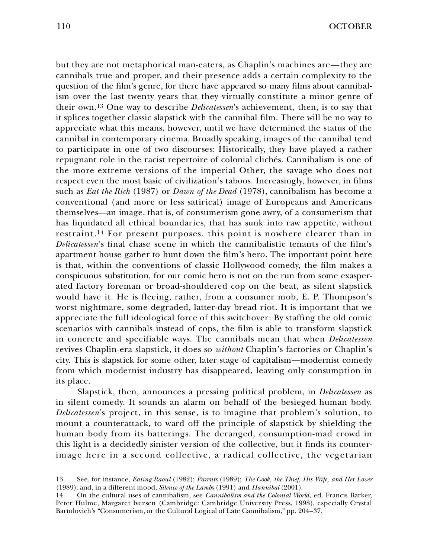but they are not metaphorical man-eaters, as Chaplin's machines are—they are cannibals true and proper, and their presence adds a certain complexity to the question of the film's genre, for there have appeared so many films about cannibalism over the last twenty years that they virtually constitute a minor genre of their own.13 One way to describe *Delicatessen*'s achievement, then, is to say that it splices together classic slapstick with the cannibal film. There will be no way to appreciate what this means, however, until we have determined the status of the cannibal in contemporary cinema. Broadly speaking, images of the cannibal tend to participate in one of two discourses: Historically, they have played a rather repugnant role in the racist repertoire of colonial clichés. Cannibalism is one of the more extreme versions of the imperial Other, the savage who does not respect even the most basic of civilization's taboos. Increasingly, however, in films such as *Eat the Rich* (1987) or *Dawn of the Dead* (1978), cannibalism has become a conventional (and more or less satirical) image of Europeans and Americans themselves—an image, that is, of consumerism gone awry, of a consumerism that has liquidated all ethical boundaries, that has sunk into raw appetite, without restraint.14 For present purposes, this point is nowhere clearer than in *Delicatessen*'s final chase scene in which the cannibalistic tenants of the film's apartment house gather to hunt down the film's hero. The important point here is that, within the conventions of classic Hollywood comedy, the film makes a conspicuous substitution, for our comic hero is not on the run from some exasperated factory foreman or broad-shouldered cop on the beat, as silent slapstick would have it. He is fleeing, rather, from a consumer mob, E. P. Thompson's worst nightmare, some degraded, latter-day bread riot. It is important that we appreciate the full ideological force of this switchover: By staffing the old comic scenarios with cannibals instead of cops, the film is able to transform slapstick in concrete and specifiable ways. The cannibals mean that when *Delicatessen* revives Chaplin-era slapstick, it does so *without* Chaplin's factories or Chaplin's city. This is slapstick for some other, later stage of capitalism—modernist comedy from which modernist industry has disappeared, leaving only consumption in its place.

Slapstick, then, announces a pressing political problem, in *Delicatessen* as in silent comedy. It sounds an alarm on behalf of the besieged human body. *Delicatessen*'s project, in this sense, is to imagine that problem's solution, to mount a counterattack, to ward off the principle of slapstick by shielding the human body from its batterings. The deranged, consumption-mad crowd in this light is a decidedly sinister version of the collective, but it finds its counterimage here in a second collective, a radical collective, the vegetarian

<sup>13.</sup> See, for instance, *Eating Raoul* (1982); *Parents* (1989); *The Cook, the Thief, His Wife, and Her Lover* (1989); and, in a different mood, *Silence of the Lamb*s (1991) and *Hannibal* (2001).

<sup>14.</sup> On the cultural uses of cannibalism, see *Cannibalism and the Colonial World*, ed. Francis Barker, Peter Hulme, Margaret Iversen (Cambridge: Cambridge University Press, 1998), especially Crystal Bartolovich's "Consumerism, or the Cultural Logical of Late Cannibalism," pp. 204–37.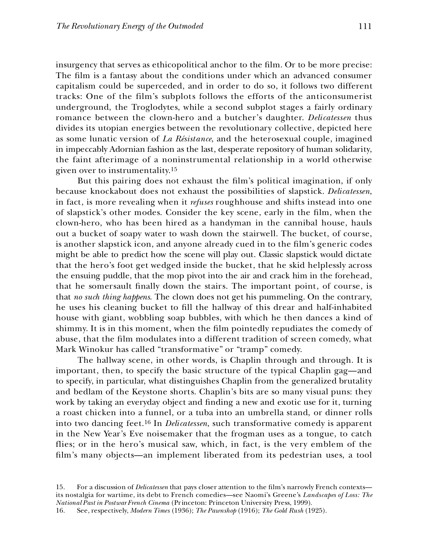insurgency that serves as ethicopolitical anchor to the film. Or to be more precise: The film is a fantasy about the conditions under which an advanced consumer capitalism could be superceded, and in order to do so, it follows two different tracks: One of the film's subplots follows the efforts of the anticonsumerist underground, the Troglodytes, while a second subplot stages a fairly ordinary romance between the clown-hero and a butcher's daughter. *Delicatessen* thus divides its utopian energies between the revolutionary collective, depicted here as some lunatic version of *La Résistance*, and the heterosexual couple, imagined in impeccably Adornian fashion as the last, desperate repository of human solidarity, the faint afterimage of a noninstrumental relationship in a world otherwise given over to instrumentality.15

But this pairing does not exhaust the film's political imagination, if only because knockabout does not exhaust the possibilities of slapstick. *Delicatessen*, in fact, is more revealing when it *refuses* roughhouse and shifts instead into one of slapstick's other modes. Consider the key scene, early in the film, when the clown-hero, who has been hired as a handyman in the cannibal house, hauls out a bucket of soapy water to wash down the stairwell. The bucket, of course, is another slapstick icon, and anyone already cued in to the film's generic codes might be able to predict how the scene will play out. Classic slapstick would dictate that the hero's foot get wedged inside the bucket, that he skid helplessly across the ensuing puddle, that the mop pivot into the air and crack him in the forehead, that he somersault nally down the stairs. The important point, of course, is that *no such thing happens*. The clown does not get his pummeling. On the contrary, he uses his cleaning bucket to fill the hallway of this drear and half-inhabited house with giant, wobbling soap bubbles, with which he then dances a kind of shimmy. It is in this moment, when the film pointedly repudiates the comedy of abuse, that the film modulates into a different tradition of screen comedy, what Mark Winokur has called "transformative" or "tramp" comedy.

The hallway scene, in other words, is Chaplin through and through. It is important, then, to specify the basic structure of the typical Chaplin gag—and to specify, in particular, what distinguishes Chaplin from the generalized brutality and bedlam of the Keystone shorts. Chaplin's bits are so many visual puns: they work by taking an everyday object and finding a new and exotic use for it, turning a roast chicken into a funnel, or a tuba into an umbrella stand, or dinner rolls into two dancing feet.16 In *Delicatessen*, such transformative comedy is apparent in the New Year's Eve noisemaker that the frogman uses as a tongue, to catch flies; or in the hero's musical saw, which, in fact, is the very emblem of the film's many objects—an implement liberated from its pedestrian uses, a tool

<sup>15.</sup> For a discussion of *Delicatessen* that pays closer attention to the film's narrowly French contexts its nostalgia for wartime, its debt to French comedies—see Naomi's Greene's *Landscapes of Loss: The National Past in Postwar French Cinema* (Princeton: Princeton University Press, 1999). 16. See, respectively, *Modern Times* (1936); *The Pawnshop* (1916); *The Gold Rush* (1925).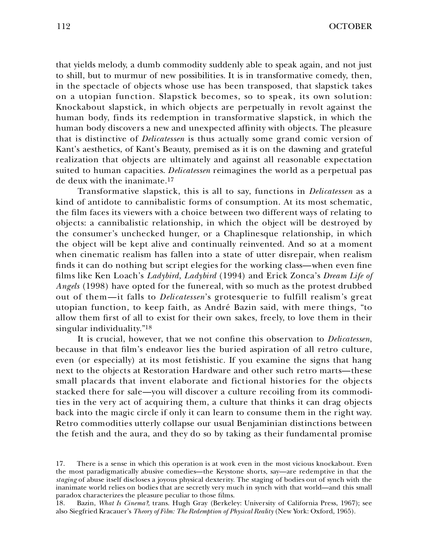that yields melody, a dumb commodity suddenly able to speak again, and not just to shill, but to murmur of new possibilities. It is in transformative comedy, then, in the spectacle of objects whose use has been transposed, that slapstick takes on a utopian function. Slapstick becomes, so to speak, its own solution: Knockabout slapstick, in which objects are perpetually in revolt against the human body, finds its redemption in transformative slapstick, in which the human body discovers a new and unexpected affinity with objects. The pleasure that is distinctive of *Delicatessen* is thus actually some grand comic version of Kant's aesthetics, of Kant's Beauty, premised as it is on the dawning and grateful realization that objects are ultimately and against all reasonable expectation suited to human capacities. *Delicatessen* reimagines the world as a perpetual pas de deux with the inanimate.17

Transformative slapstick, this is all to say, functions in *Delicatessen* as a kind of antidote to cannibalistic forms of consumption. At its most schematic, the film faces its viewers with a choice between two different ways of relating to objects: a cannibalistic relationship, in which the object will be destroyed by the consumer's unchecked hunger, or a Chaplinesque relationship, in which the object will be kept alive and continually reinvented. And so at a moment when cinematic realism has fallen into a state of utter disrepair, when realism finds it can do nothing but script elegies for the working class—when even fine lms like Ken Loach's *Ladybird, Ladybird* (1994) and Erick Zonca's *Dream Life of Angels* (1998) have opted for the funereal, with so much as the protest drubbed out of them—it falls to *Delicatessen*'s grotesquerie to fulfill realism's great utopian function, to keep faith, as André Bazin said, with mere things, "to allow them first of all to exist for their own sakes, freely, to love them in their singular individuality."18

It is crucial, however, that we not confine this observation to *Delicatessen*, because in that film's endeavor lies the buried aspiration of all retro culture, even (or especially) at its most fetishistic. If you examine the signs that hang next to the objects at Restoration Hardware and other such retro marts—these small placards that invent elaborate and fictional histories for the objects stacked there for sale—you will discover a culture recoiling from its commodities in the very act of acquiring them, a culture that thinks it can drag objects back into the magic circle if only it can learn to consume them in the right way. Retro commodities utterly collapse our usual Benjaminian distinctions between the fetish and the aura, and they do so by taking as their fundamental promise

<sup>17.</sup> There is a sense in which this operation is at work even in the most vicious knockabout. Even the most paradigmatically abusive comedies—the Keystone shorts, say—are redemptive in that the *staging* of abuse itself discloses a joyous physical dexterity. The staging of bodies out of synch with the inanimate world relies on bodies that are secretly very much in synch with that world—and this small paradox characterizes the pleasure peculiar to those films.

<sup>18.</sup> Bazin, *What Is Cinema?*, trans. Hugh Gray (Berkeley: University of California Press, 1967); see also Siegfried Kracauer's *Theory of Film: The Redemption of Physical Reality* (New York: Oxford, 1965).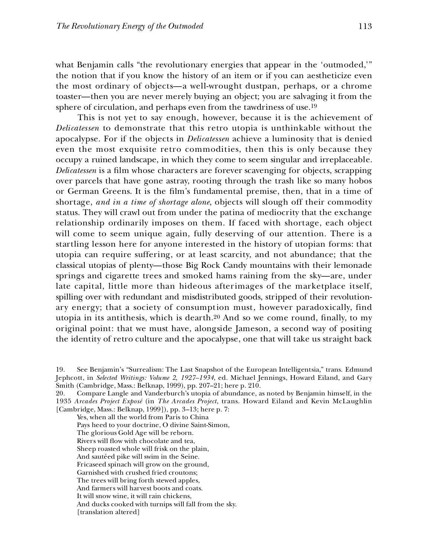what Benjamin calls "the revolutionary energies that appear in the 'outmoded,'" the notion that if you know the history of an item or if you can aestheticize even the most ordinary of objects—a well-wrought dustpan, perhaps, or a chrome toaster—then you are never merely buying an object; you are salvaging it from the sphere of circulation, and perhaps even from the tawdriness of use.19

This is not yet to say enough, however, because it is the achievement of *Delicatessen* to demonstrate that this retro utopia is unthinkable without the apocalypse. For if the objects in *Delicatessen* achieve a luminosity that is denied even the most exquisite retro commodities, then this is only because they occupy a ruined landscape, in which they come to seem singular and irreplaceable. *Delicatessen* is a film whose characters are forever scavenging for objects, scrapping over parcels that have gone astray, rooting through the trash like so many hobos or German Greens. It is the film's fundamental premise, then, that in a time of shortage, *and in a time of shortage alone*, objects will slough off their commodity status. They will crawl out from under the patina of mediocrity that the exchange relationship ordinarily imposes on them. If faced with shortage, each object will come to seem unique again, fully deserving of our attention. There is a startling lesson here for anyone interested in the history of utopian forms: that utopia can require suffering, or at least scarcity, and not abundance; that the classical utopias of plenty—those Big Rock Candy mountains with their lemonade springs and cigarette trees and smoked hams raining from the sky—are, under late capital, little more than hideous afterimages of the marketplace itself, spilling over with redundant and misdistributed goods, stripped of their revolution ary energy; that a society of consumption must, however paradoxically, find utopia in its antithesis, which is dearth. $20$  And so we come round, finally, to my original point: that we must have, alongside Jameson, a second way of positing the identity of retro culture and the apocalypse, one that will take us straight back

Yes, when all the world from Paris to China Pays heed to your doctrine, O divine Saint-Simon, The glorious Gold Age will be reborn. Rivers will flow with chocolate and tea, Sheep roasted whole will frisk on the plain, And sautéed pike will swim in the Seine. Fricaseed spinach will grow on the ground, Garnished with crushed fried croutons; The trees will bring forth stewed apples, And farmers will harvest boots and coats. It will snow wine, it will rain chickens, And ducks cooked with turnips will fall from the sky. [translation altered]

<sup>19.</sup> See Benjamin's "Surrealism: The Last Snapshot of the European Intelligentsia," trans. Edmund Jephcott, in *Selected Writings: Volume 2, 1927–1934*, ed. Michael Jennings, Howard Eiland, and Gary Smith (Cambridge, Mass.: Belknap, 1999), pp. 207–21; here p. 210.

<sup>20.</sup> Compare Langle and Vanderburch's utopia of abundance, as noted by Benjamin himself, in the 1935 *Arcades Project Exposé* (in *The Arcades Project*, trans. Howard Eiland and Kevin McLaughlin [Cambridge, Mass.: Belknap, 1999]), pp. 3–13; here p. 7: